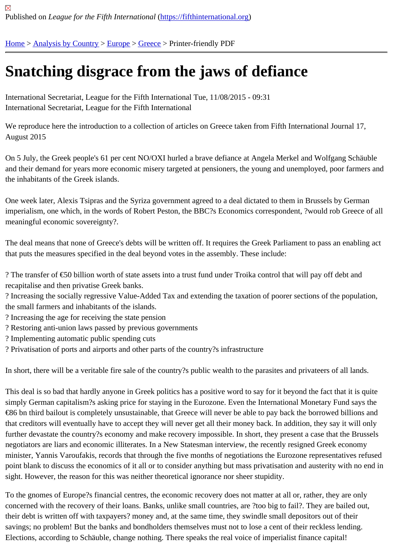## [Sn](https://fifthinternational.org/)[atching dis](https://fifthinternational.org/category/1)[grac](https://fifthinternational.org/category/1/128)[e fro](https://fifthinternational.org/category/1/128/147)m the jaws of defiance

International Secretariat, League for the Fifth International Tue, 11/08/2015 - 09:31 International Secretariat, League for the Fifth International

We reproduce here the introduction to a collection of articles on Greece taken from Fifth International Journal 17, August 2015

On 5 July, the Greek people's 61 per cent NO/OXI hurled a brave defiance at Angela Merkel and Wolfgang Schäu and their demand for years more economic misery targeted at pensioners, the young and unemployed, poor farme the inhabitants of the Greek islands.

One week later, Alexis Tsipras and the Syriza government agreed to a deal dictated to them in Brussels by Germa imperialism, one which, in the words of Robert Peston, the BBC?s Economics correspondent, ?would rob Greece meaningful economic sovereignty?.

The deal means that none of Greece's debts will be written off. It requires the Greek Parliament to pass an enablir that puts the measures specified in the deal beyond votes in the assembly. These include:

? The transfer of €50 billion worth of state assets into a trust fund under Troika control that will pay off debt and recapitalise and then privatise Greek banks.

? Increasing the socially regressive Value-Added Tax and extending the taxation of poorer sections of the populati the small farmers and inhabitants of the islands.

- ? Increasing the age for receiving the state pension
- ? Restoring anti-union laws passed by previous governments
- ? Implementing automatic public spending cuts
- ? Privatisation of ports and airports and other parts of the country?s infrastructure

In short, there will be a veritable fire sale of the country?s public wealth to the parasites and privateers of all lands.

This deal is so bad that hardly anyone in Greek politics has a positive word to say for it beyond the fact that it is qu simply German capitalism?s asking price for staying in the Eurozone. Even the International Monetary Fund says t €86 bn third bailout is completely unsustainable, that Greece will never be able to pay back the borrowed billions a that creditors will eventually have to accept they will never get all their money back. In addition, they say it will only further devastate the country?s economy and make recovery impossible. In short, they present a case that the Bru negotiators are liars and economic illiterates. In a New Statesman interview, the recently resigned Greek economy minister, Yannis Varoufakis, records that through the five months of negotiations the Eurozone representatives ref point blank to discuss the economics of it all or to consider anything but mass privatisation and austerity with no er sight. However, the reason for this was neither theoretical ignorance nor sheer stupidity.

To the gnomes of Europe?s financial centres, the economic recovery does not matter at all or, rather, they are only concerned with the recovery of their loans. Banks, unlike small countries, are ?too big to fail?. They are bailed out, their debt is written off with taxpayers? money and, at the same time, they swindle small depositors out of their savings; no problem! But the banks and bondholders themselves must not to lose a cent of their reckless lending. Elections, according to Schäuble, change nothing. There speaks the real voice of imperialist finance capital!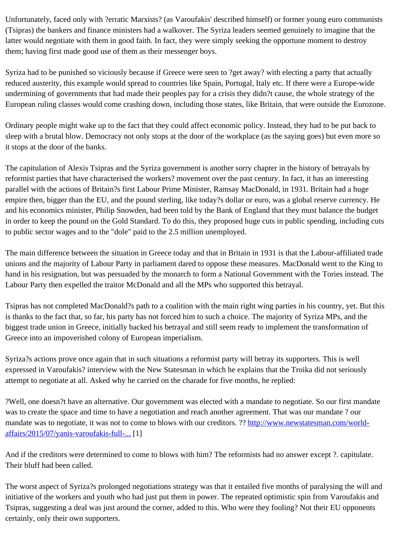$\Gamma$  the bankers and finance ministers had a walkover. The Syria leaders seemed genuinely to imagine that the Syri latter would negotiate with them in good faith. In fact, they were simply seeking the opportune moment to destroy them; having first made good use of them as their messenger boys.

Syriza had to be punished so viciously because if Greece were seen to ?get away? with electing a party that actua reduced austerity, this example would spread to countries like Spain, Portugal, Italy etc. If there were a Europe-wid undermining of governments that had made their peoples pay for a crisis they didn?t cause, the whole strategy of European ruling classes would come crashing down, including those states, like Britain, that were outside the Euro

Ordinary people might wake up to the fact that they could affect economic policy. Instead, they had to be put back to sleep with a brutal blow. Democracy not only stops at the door of the workplace (as the saying goes) but even mor it stops at the door of the banks.

The capitulation of Alexis Tsipras and the Syriza government is another sorry chapter in the history of betrayals by reformist parties that have characterised the workers? movement over the past century. In fact, it has an interestin parallel with the actions of Britain?s first Labour Prime Minister, Ramsay MacDonald, in 1931. Britain had a huge empire then, bigger than the EU, and the pound sterling, like today?s dollar or euro, was a global reserve currency and his economics minister, Philip Snowden, had been told by the Bank of England that they must balance the bu in order to keep the pound on the Gold Standard. To do this, they proposed huge cuts in public spending, including to public sector wages and to the "dole" paid to the 2.5 million unemployed.

The main difference between the situation in Greece today and that in Britain in 1931 is that the Labour-affiliated ti unions and the majority of Labour Party in parliament dared to oppose these measures. MacDonald went to the Ki hand in his resignation, but was persuaded by the monarch to form a National Government with the Tories instead Labour Party then expelled the traitor McDonald and all the MPs who supported this betrayal.

Tsipras has not completed MacDonald?s path to a coalition with the main right wing parties in his country, yet. But is thanks to the fact that, so far, his party has not forced him to such a choice. The majority of Syriza MPs, and the biggest trade union in Greece, initially backed his betrayal and still seem ready to implement the transformation of Greece into an impoverished colony of European imperialism.

Syriza?s actions prove once again that in such situations a reformist party will betray its supporters. This is well expressed in Varoufakis? interview with the New Statesman in which he explains that the Troika did not seriously attempt to negotiate at all. Asked why he carried on the charade for five months, he replied:

?Well, one doesn?t have an alternative. Our government was elected with a mandate to negotiate. So our first ma was to create the space and time to have a negotiation and reach another agreement. That was our mandate ? ou mandate was to negotiate, it was not to come to blows with our creditors. ? ? www.newstatesman.com/worldaffairs/2015/07/yanis-varoufakis-full-[1]

And if the creditors were determined to come to blows with him? The [reformists had no answer except ?.](http://www.newstatesman.com/world-affairs/2015/07/yanis-varoufakis-full-transcript-our-battle-save-greece) capitulate [Their bluff had been called.](http://www.newstatesman.com/world-affairs/2015/07/yanis-varoufakis-full-transcript-our-battle-save-greece)

The worst aspect of Syriza?s prolonged negotiations strategy was that it entailed five months of paralysing the will initiative of the workers and youth who had just put them in power. The repeated optimistic spin from Varoufakis ai Tsipras, suggesting a deal was just around the corner, added to this. Who were they fooling? Not their EU oppone certainly, only their own supporters.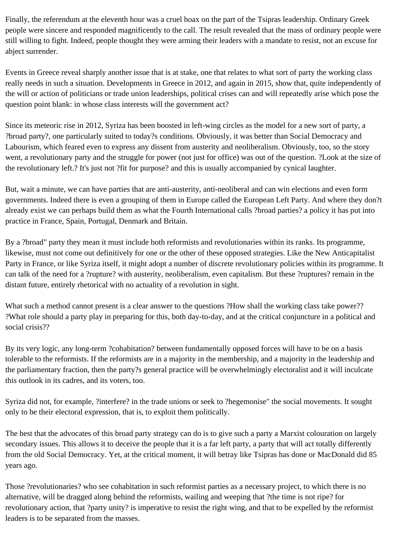Finally, the referendum at the eleventh hour was a cruel hoax on the part of the Tsipras leadership. Ordinary Greek people were sincere and responded magnificently to the call. The result revealed that the mass of ordinary people were still willing to fight. Indeed, people thought they were arming their leaders with a mandate to resist, not an excuse for abject surrender.

Events in Greece reveal sharply another issue that is at stake, one that relates to what sort of party the working class really needs in such a situation. Developments in Greece in 2012, and again in 2015, show that, quite independently of the will or action of politicians or trade union leaderships, political crises can and will repeatedly arise which pose the question point blank: in whose class interests will the government act?

Since its meteoric rise in 2012, Syriza has been boosted in left-wing circles as the model for a new sort of party, a ?broad party?, one particularly suited to today?s conditions. Obviously, it was better than Social Democracy and Labourism, which feared even to express any dissent from austerity and neoliberalism. Obviously, too, so the story went, a revolutionary party and the struggle for power (not just for office) was out of the question. ?Look at the size of the revolutionary left.? It's just not ?fit for purpose? and this is usually accompanied by cynical laughter.

But, wait a minute, we can have parties that are anti-austerity, anti-neoliberal and can win elections and even form governments. Indeed there is even a grouping of them in Europe called the European Left Party. And where they don?t already exist we can perhaps build them as what the Fourth International calls ?broad parties? a policy it has put into practice in France, Spain, Portugal, Denmark and Britain.

By a ?broad" party they mean it must include both reformists and revolutionaries within its ranks. Its programme, likewise, must not come out definitively for one or the other of these opposed strategies. Like the New Anticapitalist Party in France, or like Syriza itself, it might adopt a number of discrete revolutionary policies within its programme. It can talk of the need for a ?rupture? with austerity, neoliberalism, even capitalism. But these ?ruptures? remain in the distant future, entirely rhetorical with no actuality of a revolution in sight.

What such a method cannot present is a clear answer to the questions ?How shall the working class take power?? ?What role should a party play in preparing for this, both day-to-day, and at the critical conjuncture in a political and social crisis??

By its very logic, any long-term ?cohabitation? between fundamentally opposed forces will have to be on a basis tolerable to the reformists. If the reformists are in a majority in the membership, and a majority in the leadership and the parliamentary fraction, then the party?s general practice will be overwhelmingly electoralist and it will inculcate this outlook in its cadres, and its voters, too.

Syriza did not, for example, ?interfere? in the trade unions or seek to ?hegemonise" the social movements. It sought only to be their electoral expression, that is, to exploit them politically.

The best that the advocates of this broad party strategy can do is to give such a party a Marxist colouration on largely secondary issues. This allows it to deceive the people that it is a far left party, a party that will act totally differently from the old Social Democracy. Yet, at the critical moment, it will betray like Tsipras has done or MacDonald did 85 years ago.

Those ?revolutionaries? who see cohabitation in such reformist parties as a necessary project, to which there is no alternative, will be dragged along behind the reformists, wailing and weeping that ?the time is not ripe? for revolutionary action, that ?party unity? is imperative to resist the right wing, and that to be expelled by the reformist leaders is to be separated from the masses.